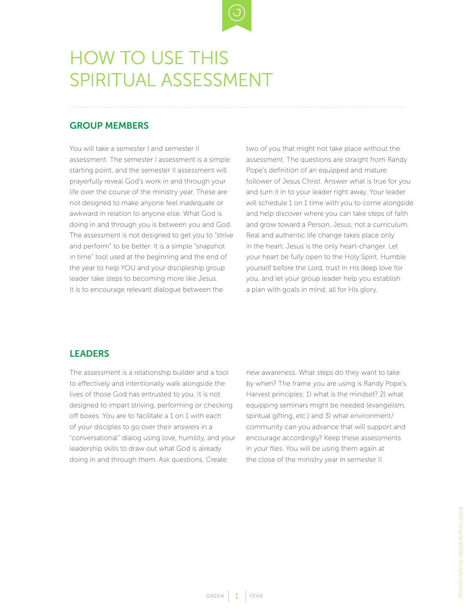

## HOW TO USE THIS SPIRITUAL ASSESSMENT

## GROUP MEMBERS

You will take a semester I and semester II assessment. The semester I assessment is a simple starting point, and the semester II assessment will prayerfully reveal God's work in and through your life over the course of the ministry year. These are not designed to make anyone feel inadequate or awkward in relation to anyone else. What God is doing in and through you is between you and God. The assessment is not designed to get you to "strive and perform" to be better. It is a simple "snapshot in time" tool used at the beginning and the end of the year to help YOU and your discipleship group leader take steps to becoming more like Jesus. It is to encourage relevant dialogue between the

two of you that might not take place without the assessment. The questions are straight from Randy Pope's definition of an equipped and mature follower of Jesus Christ. Answer what is true for you and turn it in to your leader right away. Your leader will schedule 1 on 1 time with you to come alongside and help discover where you can take steps of faith and grow toward a Person, Jesus, not a curriculum. Real and authentic life change takes place only in the heart. Jesus is the only heart-changer. Let your heart be fully open to the Holy Spirit. Humble yourself before the Lord, trust in His deep love for you, and let your group leader help you establish a plan with goals in mind, all for His glory.

## LEADERS

The assessment is a relationship builder and a tool to effectively and intentionally walk alongside the lives of those God has entrusted to you. It is not designed to impart striving, performing or checking off boxes. You are to facilitate a 1 on 1 with each of your disciples to go over their answers in a "conversational" dialog using love, humility, and your leadership skills to draw out what God is already doing in and through them. Ask questions. Create

new awareness. What steps do they want to take by when? The frame you are using is Randy Pope's Harvest principles: 1) what is the mindset? 2) what equipping seminars might be needed (evangelism, spiritual gifting, etc.) and 3) what environment/ community can you advance that will support and encourage accordingly? Keep these assessments in your files. You will be using them again at the close of the ministry year in semester II.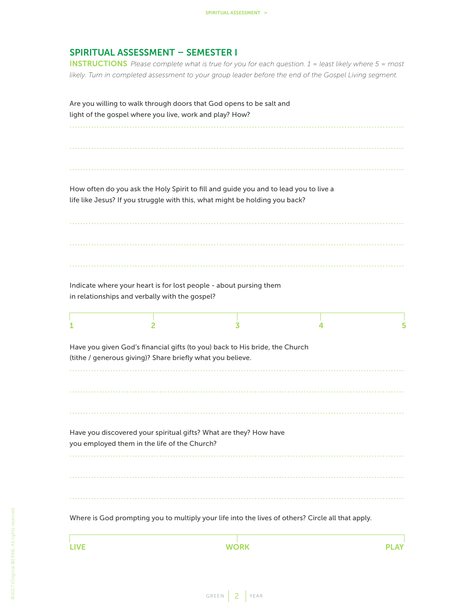## SPIRITUAL ASSESSMENT – SEMESTER I

INSTRUCTIONS *Please complete what is true for you for each question. 1 = least likely where 5 = most likely. Turn in completed assessment to your group leader before the end of the Gospel Living segment.*

|   | light of the gospel where you live, work and play? How?    | Are you willing to walk through doors that God opens to be salt and                                                                                                 |   |   |
|---|------------------------------------------------------------|---------------------------------------------------------------------------------------------------------------------------------------------------------------------|---|---|
|   |                                                            | How often do you ask the Holy Spirit to fill and guide you and to lead you to live a<br>life like Jesus? If you struggle with this, what might be holding you back? |   |   |
| 1 | in relationships and verbally with the gospel?<br>2        | Indicate where your heart is for lost people - about pursing them<br>3                                                                                              | 4 | 5 |
|   | (tithe / generous giving)? Share briefly what you believe. | Have you given God's financial gifts (to you) back to His bride, the Church                                                                                         |   |   |
|   | you employed them in the life of the Church?               | Have you discovered your spiritual gifts? What are they? How have                                                                                                   |   |   |
|   |                                                            | Where is God prompting you to multiply your life into the lives of others? Circle all that apply.                                                                   |   |   |

LIVE WORK PLAY